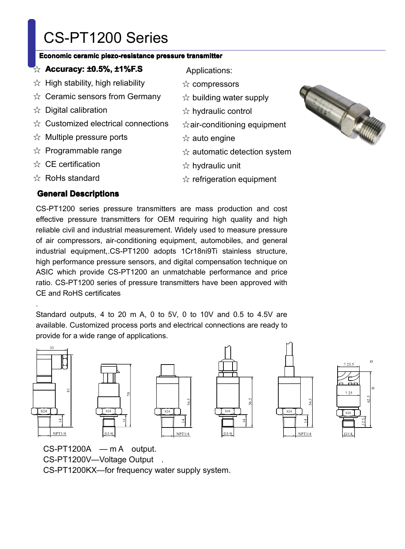# CS-PT1200 Series<br>
Economic ceramic piezo-resistance pres<br>  $\hat{\mathbb{R}}$  Accuracy: ±0.5%, ±1%F.S<br>  $\hat{\mathbb{R}}$  High stability, high reliability<br>  $\hat{\mathbb{R}}$  Ceramic sensors from Germany<br>  $\hat{\mathbb{R}}$  Digital calibration<br>  $\hat{\mathbb{R}}$

# Economic ceramic piezo-resistance pressure transmitter<br>
The Correctors: **Accuracy: ±0.5%, ±1%F.S**<br>
Thigh stability, high reliability<br>
Thigh stability, high reliability<br>
The Correctors of Ceramic sensors from Germany<br>
The

- 
- **Exercise Conditive Conditional Proceduracy: <b>±0.5%, ±1%F.S**<br>
☆ High stability, high reliability<br>
☆ Ceramic sensors from Gerretical condition  $\hat{\varphi}$  High stability, high reliability<br> $\hat{\varphi}$  Ceramic sensors from Gern<br> $\hat{\varphi}$  Digital calibration<br> $\hat{\varphi}$  Customized electrical conne ☆ Ceramic sensors from Germany<br>☆ Digital calibration<br>☆ Customized electrical connection<br>☆ Multiple pressure ports
	-
- ☆ Digital calibration<br>☆ Customized elect<br>☆ Multiple pressure<br>☆ Programmable ra ☆ Customized electrical connections<br>☆ Multiple pressure ports<br>☆ Programmable range<br>☆ CE certification<br>☆ RoHs standard
- $\hat{\varphi}$  Multiple pressure ports<br> $\hat{\varphi}$  Programmable range<br> $\hat{\varphi}$  CE certification<br> $\hat{\varphi}$  RoHs standard
- $\alpha$  Maltiple pressate por<br> $\alpha$  Programmable range<br> $\alpha$  RoHs standard<br>**General Descriptions** 
	-
	-

Applications:

- ☆ compressors
- om Germany<br>  $\hat{\alpha}$  building water supply<br>  $\hat{\alpha}$  building water supply<br>
cal connections<br>  $\hat{\alpha}$  air-conditioning equip<br>
orts<br>  $\hat{\alpha}$  auto engine<br>  $\hat{\alpha}$  automatic detection s
- $\frac{1}{\sqrt{2}}$  hydraulic control<br>cal connections  $\frac{1}{\sqrt{2}}$  air-conditioning e<br>orts  $\frac{1}{\sqrt{2}}$  auto engine<br>ge  $\frac{1}{\sqrt{2}}$  hydraulic unit
	-
- orts<br>
a all condition<br>
orts<br>
a auto engine<br>  $\frac{1}{N}$  automatic d<br>  $\frac{1}{N}$  hydraulic ur<br>  $\frac{1}{N}$  refrigeration
- $\dagger$  hydraulic control<br> $\dagger$ air-conditioning equipment<br> $\dagger$  auto engine<br> $\dagger$  automatic detection system<br> $\dagger$  hydraulic unit<br> $\dagger$  refrigeration equipment ge  $\frac{1}{2}$  automatic detection system  $\frac{1}{2}$  hydraulic unit  $\frac{1}{2}$  refrigeration equipment
S
	-
	-



☆ CE certification<br>☆ RoHs standard<br>**General Descrip**<br>CS-PT1200 series ☆ RoHs standard<br>
General Descrip<br>
CS-PT1200 series<br>
effective pressure<br>
reliable civil and ine **General Descriptions**<br>
CS-PT1200 series pres<br>
effective pressure trans<br>
reliable civil and industria<br>
of air compressors, air-CS-PT1200 series pressure transmitters are mass production and cost effective pressure transmitters for OEM requiring high quality and high reliable civil and industrial measurement. Widely used to measure pressure of air CS-PT1200 senes pressure transmitters are mass production and cost<br>effective pressure transmitters for OEM requiring high quality and high<br>reliable civil and industrial measurement. Widely used to measure pressure<br>of air c enective pressure transmitters for OEM requiring high quality and high<br>reliable civil and industrial measurement. Widely used to measure pressure<br>of air compressors, air-conditioning equipment, automobiles, and general<br>ind Feliable Civil and industrial measurement. Widely used to measure pressure<br>of air compressors, air-conditioning equipment, automobiles, and general<br>industrial equipment, CS-PT1200 adopts 1Cr18ni9Ti stainless structure,<br>hig or air compressors, air-conditioning equipment, automobiles, and general<br>industrial equipment,.CS-PT1200 adopts 1Cr18ni9Ti stainless structure,<br>high performance pressure sensors, and digital compensation technique on<br>ASIC high performance pressure sensors, and digital compensation technique on ASIC which provide CS-PT1200 an unmatchable performance and price ratio. CS-PT1200 series of pressure transmitters have been approved with CF and RoH migh performance pressure sensors, and digital compensation technique on<br>ASIC which provide CS-PT1200 an unmatchable performance and price<br>ratio. CS-PT1200 series of pressure transmitters have been approved with<br>CE and RoH ASIC which provide CS-PT1200 an unmatchable performance and price<br>ratio. CS-PT1200 series of pressure transmitters have been approved with<br>CE and RoHS certificates<br>Standard outputs, 4 to 20 m A, 0 to 5V, 0 to 10V and 0.5 t  $\frac{1}{2}$  actomate actor  $\frac{1}{2}$  hydraulic unit<br> $\frac{1}{2}$  refrigeration of<br>soure transmitters are mass produces  $\frac{1}{24}$  rigulation equipment<br>
Solution and the same transmitters are mass production and domitters for OEM requiring high quality and had rigular measurement. Widely used to measure press

ratio. CS-PTT200 series<br>CE and RoHS certificates<br>Standard outputs, 4 to 2<br>available. Customized pro Standard outputs, 4 to 20 m A, 0 to 5V, 0 to 10V and 0.5 to 4.5V are available. Customized process ports and electrical connections are ready to provide for a wide range of applications. available. Customized process ports and electrical connections are ready to













CS-PT1200A — m A output.<br>CS-PT1200V—Voltage Output<br>CS-PT1200KX—for frequency CS-PT1200A — m A output.<br>CS-PT1200V—Voltage Output<br>CS-PT1200KX—for frequency wa<br> CS-PT1200KX—for frequency water supply system.